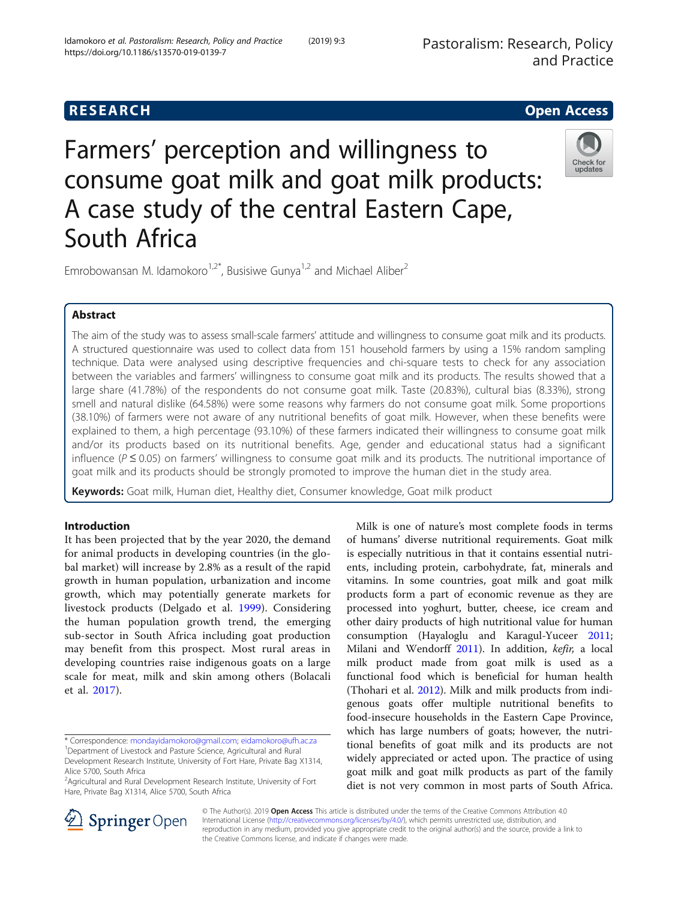# **RESEARCH CHE Open Access**

# Farmers' perception and willingness to consume goat milk and goat milk products: A case study of the central Eastern Cape, South Africa



Emrobowansan M. Idamokoro<sup>1,2\*</sup>, Busisiwe Gunya<sup>1,2</sup> and Michael Aliber<sup>2</sup>

# Abstract

The aim of the study was to assess small-scale farmers' attitude and willingness to consume goat milk and its products. A structured questionnaire was used to collect data from 151 household farmers by using a 15% random sampling technique. Data were analysed using descriptive frequencies and chi-square tests to check for any association between the variables and farmers' willingness to consume goat milk and its products. The results showed that a large share (41.78%) of the respondents do not consume goat milk. Taste (20.83%), cultural bias (8.33%), strong smell and natural dislike (64.58%) were some reasons why farmers do not consume goat milk. Some proportions (38.10%) of farmers were not aware of any nutritional benefits of goat milk. However, when these benefits were explained to them, a high percentage (93.10%) of these farmers indicated their willingness to consume goat milk and/or its products based on its nutritional benefits. Age, gender and educational status had a significant influence ( $P \le 0.05$ ) on farmers' willingness to consume goat milk and its products. The nutritional importance of goat milk and its products should be strongly promoted to improve the human diet in the study area.

Keywords: Goat milk, Human diet, Healthy diet, Consumer knowledge, Goat milk product

# Introduction

It has been projected that by the year 2020, the demand for animal products in developing countries (in the global market) will increase by 2.8% as a result of the rapid growth in human population, urbanization and income growth, which may potentially generate markets for livestock products (Delgado et al. [1999\)](#page-6-0). Considering the human population growth trend, the emerging sub-sector in South Africa including goat production may benefit from this prospect. Most rural areas in developing countries raise indigenous goats on a large scale for meat, milk and skin among others (Bolacali et al. [2017\)](#page-6-0).

<sup>&</sup>lt;sup>2</sup> Agricultural and Rural Development Research Institute, University of Fort Hare, Private Bag X1314, Alice 5700, South Africa





© The Author(s). 2019 Open Access This article is distributed under the terms of the Creative Commons Attribution 4.0 International License ([http://creativecommons.org/licenses/by/4.0/\)](http://creativecommons.org/licenses/by/4.0/), which permits unrestricted use, distribution, and reproduction in any medium, provided you give appropriate credit to the original author(s) and the source, provide a link to the Creative Commons license, and indicate if changes were made.

<sup>\*</sup> Correspondence: [mondayidamokoro@gmail.com](mailto:mondayidamokoro@gmail.com); [eidamokoro@ufh.ac.za](mailto:eidamokoro@ufh.ac.za) <sup>1</sup> <sup>1</sup>Department of Livestock and Pasture Science, Agricultural and Rural

Development Research Institute, University of Fort Hare, Private Bag X1314, Alice 5700, South Africa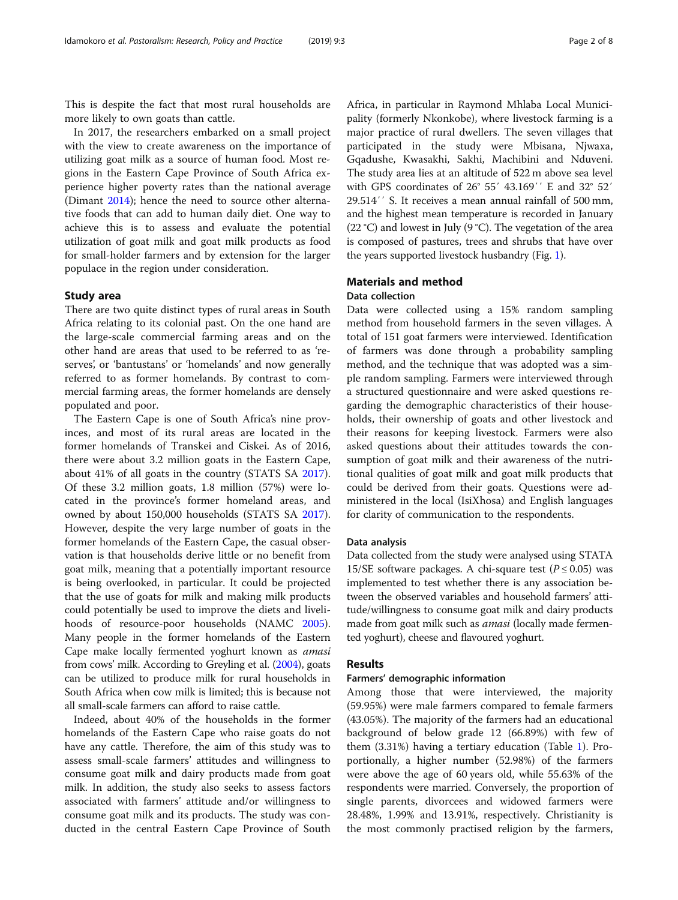This is despite the fact that most rural households are more likely to own goats than cattle.

In 2017, the researchers embarked on a small project with the view to create awareness on the importance of utilizing goat milk as a source of human food. Most regions in the Eastern Cape Province of South Africa experience higher poverty rates than the national average (Dimant [2014](#page-6-0)); hence the need to source other alternative foods that can add to human daily diet. One way to achieve this is to assess and evaluate the potential utilization of goat milk and goat milk products as food for small-holder farmers and by extension for the larger populace in the region under consideration.

# Study area

There are two quite distinct types of rural areas in South Africa relating to its colonial past. On the one hand are the large-scale commercial farming areas and on the other hand are areas that used to be referred to as 'reserves', or 'bantustans' or 'homelands' and now generally referred to as former homelands. By contrast to commercial farming areas, the former homelands are densely populated and poor.

The Eastern Cape is one of South Africa's nine provinces, and most of its rural areas are located in the former homelands of Transkei and Ciskei. As of 2016, there were about 3.2 million goats in the Eastern Cape, about 41% of all goats in the country (STATS SA [2017](#page-6-0)). Of these 3.2 million goats, 1.8 million (57%) were located in the province's former homeland areas, and owned by about 150,000 households (STATS SA [2017](#page-6-0)). However, despite the very large number of goats in the former homelands of the Eastern Cape, the casual observation is that households derive little or no benefit from goat milk, meaning that a potentially important resource is being overlooked, in particular. It could be projected that the use of goats for milk and making milk products could potentially be used to improve the diets and livelihoods of resource-poor households (NAMC [2005](#page-6-0)). Many people in the former homelands of the Eastern Cape make locally fermented yoghurt known as amasi from cows' milk. According to Greyling et al. ([2004\)](#page-6-0), goats can be utilized to produce milk for rural households in South Africa when cow milk is limited; this is because not all small-scale farmers can afford to raise cattle.

Indeed, about 40% of the households in the former homelands of the Eastern Cape who raise goats do not have any cattle. Therefore, the aim of this study was to assess small-scale farmers' attitudes and willingness to consume goat milk and dairy products made from goat milk. In addition, the study also seeks to assess factors associated with farmers' attitude and/or willingness to consume goat milk and its products. The study was conducted in the central Eastern Cape Province of South

Africa, in particular in Raymond Mhlaba Local Municipality (formerly Nkonkobe), where livestock farming is a major practice of rural dwellers. The seven villages that participated in the study were Mbisana, Njwaxa, Gqadushe, Kwasakhi, Sakhi, Machibini and Nduveni. The study area lies at an altitude of 522 m above sea level with GPS coordinates of 26° 55′ 43.169′′ E and 32° 52′ 29.514′′ S. It receives a mean annual rainfall of 500 mm, and the highest mean temperature is recorded in January (22 °C) and lowest in July (9 °C). The vegetation of the area is composed of pastures, trees and shrubs that have over the years supported livestock husbandry (Fig. [1](#page-2-0)).

# Materials and method

# Data collection

Data were collected using a 15% random sampling method from household farmers in the seven villages. A total of 151 goat farmers were interviewed. Identification of farmers was done through a probability sampling method, and the technique that was adopted was a simple random sampling. Farmers were interviewed through a structured questionnaire and were asked questions regarding the demographic characteristics of their households, their ownership of goats and other livestock and their reasons for keeping livestock. Farmers were also asked questions about their attitudes towards the consumption of goat milk and their awareness of the nutritional qualities of goat milk and goat milk products that could be derived from their goats. Questions were administered in the local (IsiXhosa) and English languages for clarity of communication to the respondents.

# Data analysis

Data collected from the study were analysed using STATA 15/SE software packages. A chi-square test ( $P \le 0.05$ ) was implemented to test whether there is any association between the observed variables and household farmers' attitude/willingness to consume goat milk and dairy products made from goat milk such as *amasi* (locally made fermented yoghurt), cheese and flavoured yoghurt.

# Results

## Farmers' demographic information

Among those that were interviewed, the majority (59.95%) were male farmers compared to female farmers (43.05%). The majority of the farmers had an educational background of below grade 12 (66.89%) with few of them (3.31%) having a tertiary education (Table [1\)](#page-3-0). Proportionally, a higher number (52.98%) of the farmers were above the age of 60 years old, while 55.63% of the respondents were married. Conversely, the proportion of single parents, divorcees and widowed farmers were 28.48%, 1.99% and 13.91%, respectively. Christianity is the most commonly practised religion by the farmers,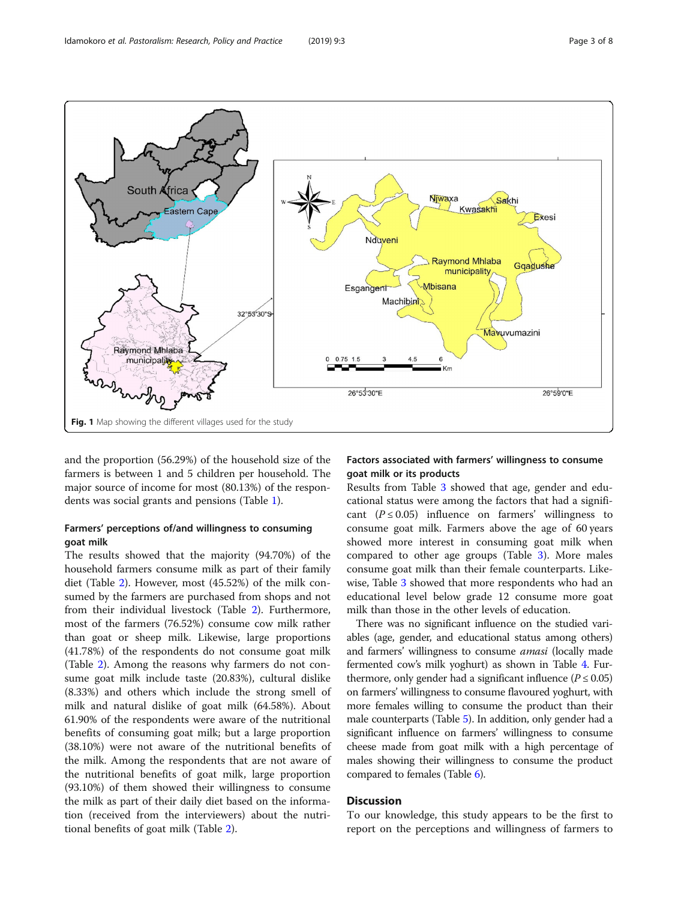<span id="page-2-0"></span>

and the proportion (56.29%) of the household size of the farmers is between 1 and 5 children per household. The major source of income for most (80.13%) of the respondents was social grants and pensions (Table [1\)](#page-3-0).

# Farmers' perceptions of/and willingness to consuming goat milk

The results showed that the majority (94.70%) of the household farmers consume milk as part of their family diet (Table [2](#page-4-0)). However, most (45.52%) of the milk consumed by the farmers are purchased from shops and not from their individual livestock (Table [2](#page-4-0)). Furthermore, most of the farmers (76.52%) consume cow milk rather than goat or sheep milk. Likewise, large proportions (41.78%) of the respondents do not consume goat milk (Table [2\)](#page-4-0). Among the reasons why farmers do not consume goat milk include taste (20.83%), cultural dislike (8.33%) and others which include the strong smell of milk and natural dislike of goat milk (64.58%). About 61.90% of the respondents were aware of the nutritional benefits of consuming goat milk; but a large proportion (38.10%) were not aware of the nutritional benefits of the milk. Among the respondents that are not aware of the nutritional benefits of goat milk, large proportion (93.10%) of them showed their willingness to consume the milk as part of their daily diet based on the information (received from the interviewers) about the nutritional benefits of goat milk (Table [2](#page-4-0)).

# Factors associated with farmers' willingness to consume goat milk or its products

Results from Table [3](#page-5-0) showed that age, gender and educational status were among the factors that had a significant  $(P \le 0.05)$  influence on farmers' willingness to consume goat milk. Farmers above the age of 60 years showed more interest in consuming goat milk when compared to other age groups (Table [3](#page-5-0)). More males consume goat milk than their female counterparts. Likewise, Table [3](#page-5-0) showed that more respondents who had an educational level below grade 12 consume more goat milk than those in the other levels of education.

There was no significant influence on the studied variables (age, gender, and educational status among others) and farmers' willingness to consume amasi (locally made fermented cow's milk yoghurt) as shown in Table [4.](#page-5-0) Furthermore, only gender had a significant influence ( $P \le 0.05$ ) on farmers' willingness to consume flavoured yoghurt, with more females willing to consume the product than their male counterparts (Table [5](#page-5-0)). In addition, only gender had a significant influence on farmers' willingness to consume cheese made from goat milk with a high percentage of males showing their willingness to consume the product compared to females (Table [6\)](#page-5-0).

# **Discussion**

To our knowledge, this study appears to be the first to report on the perceptions and willingness of farmers to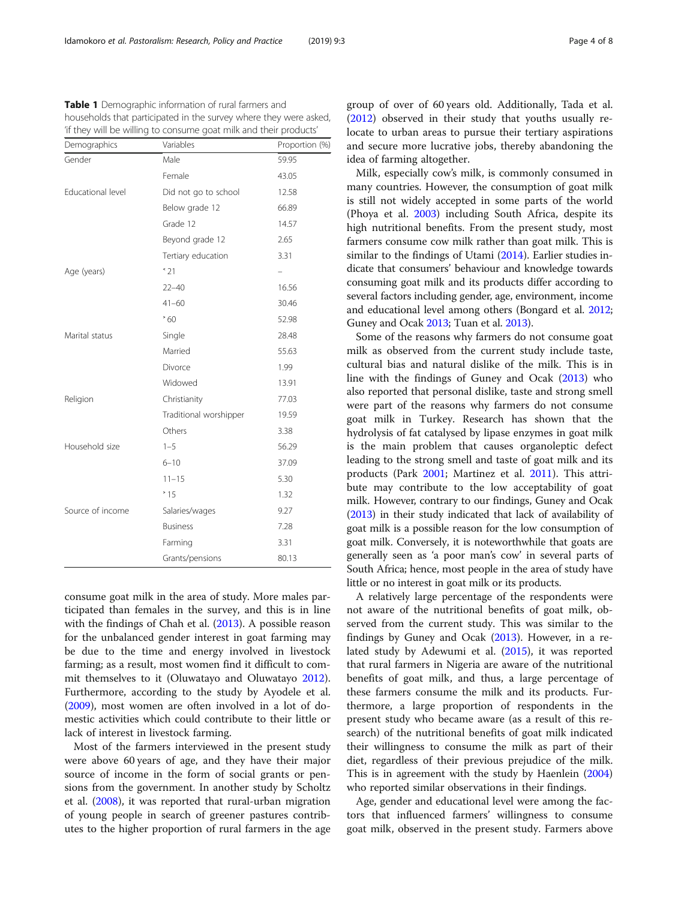consume goat milk in the area of study. More males participated than females in the survey, and this is in line with the findings of Chah et al. [\(2013\)](#page-6-0). A possible reason for the unbalanced gender interest in goat farming may be due to the time and energy involved in livestock farming; as a result, most women find it difficult to commit themselves to it (Oluwatayo and Oluwatayo [2012](#page-6-0)). Furthermore, according to the study by Ayodele et al. ([2009](#page-6-0)), most women are often involved in a lot of domestic activities which could contribute to their little or lack of interest in livestock farming.

Most of the farmers interviewed in the present study were above 60 years of age, and they have their major source of income in the form of social grants or pensions from the government. In another study by Scholtz et al. [\(2008\)](#page-6-0), it was reported that rural-urban migration of young people in search of greener pastures contributes to the higher proportion of rural farmers in the age group of over of 60 years old. Additionally, Tada et al. ([2012\)](#page-7-0) observed in their study that youths usually relocate to urban areas to pursue their tertiary aspirations and secure more lucrative jobs, thereby abandoning the idea of farming altogether.

Milk, especially cow's milk, is commonly consumed in many countries. However, the consumption of goat milk is still not widely accepted in some parts of the world (Phoya et al. [2003\)](#page-6-0) including South Africa, despite its high nutritional benefits. From the present study, most farmers consume cow milk rather than goat milk. This is similar to the findings of Utami [\(2014\)](#page-7-0). Earlier studies indicate that consumers' behaviour and knowledge towards consuming goat milk and its products differ according to several factors including gender, age, environment, income and educational level among others (Bongard et al. [2012](#page-6-0); Guney and Ocak [2013](#page-6-0); Tuan et al. [2013\)](#page-7-0).

Some of the reasons why farmers do not consume goat milk as observed from the current study include taste, cultural bias and natural dislike of the milk. This is in line with the findings of Guney and Ocak ([2013\)](#page-6-0) who also reported that personal dislike, taste and strong smell were part of the reasons why farmers do not consume goat milk in Turkey. Research has shown that the hydrolysis of fat catalysed by lipase enzymes in goat milk is the main problem that causes organoleptic defect leading to the strong smell and taste of goat milk and its products (Park [2001](#page-6-0); Martinez et al. [2011](#page-6-0)). This attribute may contribute to the low acceptability of goat milk. However, contrary to our findings, Guney and Ocak ([2013](#page-6-0)) in their study indicated that lack of availability of goat milk is a possible reason for the low consumption of goat milk. Conversely, it is noteworthwhile that goats are generally seen as 'a poor man's cow' in several parts of South Africa; hence, most people in the area of study have little or no interest in goat milk or its products.

A relatively large percentage of the respondents were not aware of the nutritional benefits of goat milk, observed from the current study. This was similar to the findings by Guney and Ocak [\(2013](#page-6-0)). However, in a related study by Adewumi et al. ([2015](#page-6-0)), it was reported that rural farmers in Nigeria are aware of the nutritional benefits of goat milk, and thus, a large percentage of these farmers consume the milk and its products. Furthermore, a large proportion of respondents in the present study who became aware (as a result of this research) of the nutritional benefits of goat milk indicated their willingness to consume the milk as part of their diet, regardless of their previous prejudice of the milk. This is in agreement with the study by Haenlein ([2004](#page-6-0)) who reported similar observations in their findings.

Age, gender and educational level were among the factors that influenced farmers' willingness to consume goat milk, observed in the present study. Farmers above

<span id="page-3-0"></span>Table 1 Demographic information of rural farmers and households that participated in the survey where they were asked, 'if they will be willing to consume goat milk and their products'

| Demographics      | Variables              | Proportion (%) |
|-------------------|------------------------|----------------|
| Gender            | Male                   | 59.95          |
|                   | Female                 | 43.05          |
| Educational level | Did not go to school   | 12.58          |
|                   | Below grade 12         | 66.89          |
|                   | Grade 12               | 14.57          |
|                   | Beyond grade 12        | 2.65           |
|                   | Tertiary education     | 3.31           |
| Age (years)       | 321                    |                |
|                   | $22 - 40$              | 16.56          |
|                   | $41 - 60$              | 30.46          |
|                   | 560                    | 52.98          |
| Marital status    | Single                 | 28.48          |
|                   | Married                | 55.63          |
|                   | Divorce                | 1.99           |
|                   | Widowed                | 13.91          |
| Religion          | Christianity           | 77.03          |
|                   | Traditional worshipper | 19.59          |
|                   | Others                 | 3.38           |
| Household size    | $1 - 5$                | 56.29          |
|                   | $6 - 10$               | 37.09          |
|                   | $11 - 15$              | 5.30           |
|                   | ~15                    | 1.32           |
| Source of income  | Salaries/wages         | 9.27           |
|                   | <b>Business</b>        | 7.28           |
|                   | Farming                | 3.31           |
|                   | Grants/pensions        | 80.13          |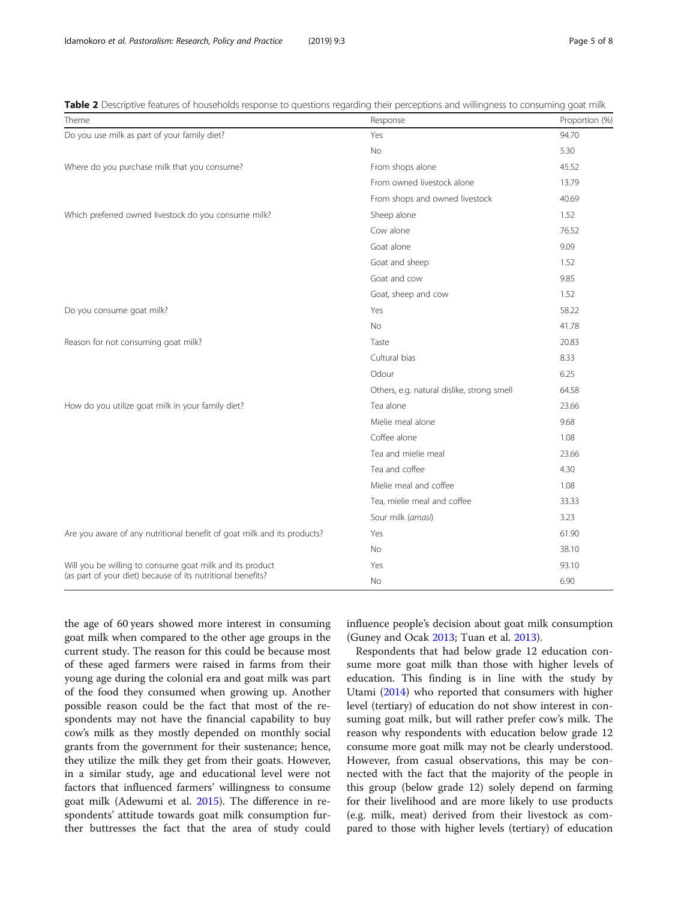<span id="page-4-0"></span>Table 2 Descriptive features of households response to questions regarding their perceptions and willingness to consuming goat milk

| Theme                                                                   | Response                                   | Proportion (%) |
|-------------------------------------------------------------------------|--------------------------------------------|----------------|
| Do you use milk as part of your family diet?                            | Yes                                        | 94.70          |
|                                                                         | <b>No</b>                                  | 5.30           |
| Where do you purchase milk that you consume?                            | From shops alone                           | 45.52          |
|                                                                         | From owned livestock alone                 | 13.79          |
|                                                                         | From shops and owned livestock             | 40.69          |
| Which preferred owned livestock do you consume milk?                    | Sheep alone                                | 1.52           |
|                                                                         | Cow alone                                  | 76.52          |
|                                                                         | Goat alone                                 | 9.09           |
|                                                                         | Goat and sheep                             | 1.52           |
|                                                                         | Goat and cow                               | 9.85           |
|                                                                         | Goat, sheep and cow                        | 1.52           |
| Do you consume goat milk?                                               | Yes                                        | 58.22          |
|                                                                         | <b>No</b>                                  | 41.78          |
| Reason for not consuming goat milk?                                     | Taste                                      | 20.83          |
|                                                                         | Cultural bias                              | 8.33           |
|                                                                         | Odour                                      | 6.25           |
|                                                                         | Others, e.g. natural dislike, strong smell | 64.58          |
| How do you utilize goat milk in your family diet?                       | Tea alone                                  | 23.66          |
|                                                                         | Mielie meal alone                          | 9.68           |
|                                                                         | Coffee alone                               | 1.08           |
|                                                                         | Tea and mielie meal                        | 23.66          |
|                                                                         | Tea and coffee                             | 4.30           |
|                                                                         | Mielie meal and coffee                     | 1.08           |
|                                                                         | Tea, mielie meal and coffee                | 33.33          |
|                                                                         | Sour milk (amasi)                          | 3.23           |
| Are you aware of any nutritional benefit of goat milk and its products? | Yes                                        | 61.90          |
|                                                                         | <b>No</b>                                  | 38.10          |
| Will you be willing to consume goat milk and its product                | Yes                                        | 93.10          |
| (as part of your diet) because of its nutritional benefits?             | <b>No</b>                                  | 6.90           |

the age of 60 years showed more interest in consuming goat milk when compared to the other age groups in the current study. The reason for this could be because most of these aged farmers were raised in farms from their young age during the colonial era and goat milk was part of the food they consumed when growing up. Another possible reason could be the fact that most of the respondents may not have the financial capability to buy cow's milk as they mostly depended on monthly social grants from the government for their sustenance; hence, they utilize the milk they get from their goats. However, in a similar study, age and educational level were not factors that influenced farmers' willingness to consume goat milk (Adewumi et al. [2015](#page-6-0)). The difference in respondents' attitude towards goat milk consumption further buttresses the fact that the area of study could influence people's decision about goat milk consumption (Guney and Ocak [2013;](#page-6-0) Tuan et al. [2013](#page-7-0)).

Respondents that had below grade 12 education consume more goat milk than those with higher levels of education. This finding is in line with the study by Utami [\(2014\)](#page-7-0) who reported that consumers with higher level (tertiary) of education do not show interest in consuming goat milk, but will rather prefer cow's milk. The reason why respondents with education below grade 12 consume more goat milk may not be clearly understood. However, from casual observations, this may be connected with the fact that the majority of the people in this group (below grade 12) solely depend on farming for their livelihood and are more likely to use products (e.g. milk, meat) derived from their livestock as compared to those with higher levels (tertiary) of education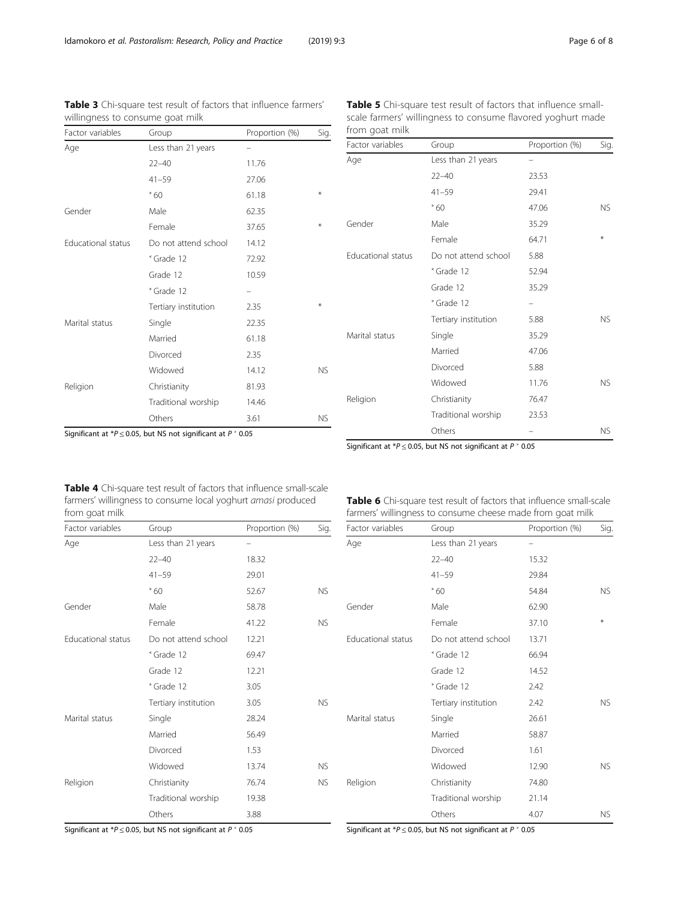<span id="page-5-0"></span>Table 3 Chi-square test result of factors that influence farmers'

willingness to consume goat milk

| Factor variables   | Group                    | Proportion (%) | Sig.      |
|--------------------|--------------------------|----------------|-----------|
| Age                | Less than 21 years       |                |           |
|                    | $22 - 40$                | 11.76          |           |
|                    | $41 - 59$                | 27.06          |           |
|                    | 560                      | 61.18          | ⋇         |
| Gender             | Male                     | 62.35          |           |
|                    | Female                   | 37.65          | ⋇         |
| Educational status | Do not attend school     | 14.12          |           |
|                    | <sup>&lt;</sup> Grade 12 | 72.92          |           |
|                    | Grade 12                 | 10.59          |           |
|                    | <sup>&gt;</sup> Grade 12 |                |           |
|                    | Tertiary institution     | 2.35           | ₩         |
| Marital status     | Single                   | 22.35          |           |
|                    | Married                  | 61.18          |           |
|                    | Divorced                 | 2.35           |           |
|                    | Widowed                  | 14.12          | <b>NS</b> |
| Religion           | Christianity             | 81.93          |           |
|                    | Traditional worship      | 14.46          |           |
|                    | Others                   | 3.61           | <b>NS</b> |

| <b>Table 5</b> Chi-square test result of factors that influence small- |
|------------------------------------------------------------------------|
| scale farmers' willingness to consume flavored yoghurt made            |
| from goat milk                                                         |

Factor variables Group Group Proportion (%) Sig.

| Age                | Less than 21 years       |       |     |
|--------------------|--------------------------|-------|-----|
|                    | $22 - 40$                | 23.53 |     |
|                    | $41 - 59$                | 29.41 |     |
|                    | .60                      | 47.06 | NS. |
| Gender             | Male                     | 35.29 |     |
|                    | Female                   | 64.71 | $*$ |
| Educational status | Do not attend school     | 5.88  |     |
|                    | <sup>&lt;</sup> Grade 12 | 52.94 |     |
|                    | Grade 12                 | 35.29 |     |
|                    | <sup>&gt;</sup> Grade 12 |       |     |
|                    | Tertiary institution     | 5.88  | NS. |
| Marital status     | Single                   | 35.29 |     |
|                    | Married                  | 47.06 |     |
|                    | Divorced                 | 5.88  |     |
|                    | Widowed                  | 11.76 | NS. |
| Religion           | Christianity             | 76.47 |     |
|                    | Traditional worship      | 23.53 |     |
|                    | Others                   |       | NS. |

Significant at  $*P \le 0.05$ , but NS not significant at  $P \nmid 0.05$ 

Significant at  $*P \le 0.05$ , but NS not significant at  $P$   $*$  0.05

Table 4 Chi-square test result of factors that influence small-scale farmers' willingness to consume local yoghurt amasi produced from goat milk

Factor variables Group Group Proportion (%) Sig. Age Less than 21 years – 22–40 18.32 41–59 29.01 ˃ 60 52.67 NS Gender Male 58.78 Female 41.22 NS Educational status Do not attend school 12.21  $\frac{1}{2}$  Grade 12 69.47 Grade 12 12.21 ˃ Grade 12 3.05 Tertiary institution 3.05 NS Marital status Single 28.24 Married 56.49 Divorced 1.53 Widowed 13.74 NS Religion Christianity 76.74 NS Traditional worship 19.38 Others 3.88

Table 6 Chi-square test result of factors that influence small-scale farmers' willingness to consume cheese made from goat milk

| Factor variables          | Group                    | Proportion (%) | Sig.      |
|---------------------------|--------------------------|----------------|-----------|
| Age                       | Less than 21 years       |                |           |
|                           | $22 - 40$                | 15.32          |           |
|                           | $41 - 59$                | 29.84          |           |
|                           | 560                      | 54.84          | <b>NS</b> |
| Gender                    | Male                     | 62.90          |           |
|                           | Female                   | 37.10          | $*$       |
| <b>Educational status</b> | Do not attend school     | 13.71          |           |
|                           | <sup>&lt;</sup> Grade 12 | 66.94          |           |
|                           | Grade 12                 | 14.52          |           |
|                           | <sup>&gt;</sup> Grade 12 | 2.42           |           |
|                           | Tertiary institution     | 2.42           | <b>NS</b> |
| Marital status            | Single                   | 26.61          |           |
|                           | Married                  | 58.87          |           |
|                           | Divorced                 | 1.61           |           |
|                           | Widowed                  | 12.90          | <b>NS</b> |
| Religion                  | Christianity             | 74.80          |           |
|                           | Traditional worship      | 21.14          |           |
|                           | Others                   | 4.07           | <b>NS</b> |

Significant at  $*P \le 0.05$ , but NS not significant at  $P$   $^{\circ}$  0.05

Significant at  $*P \le 0.05$ , but NS not significant at  $P$   $> 0.05$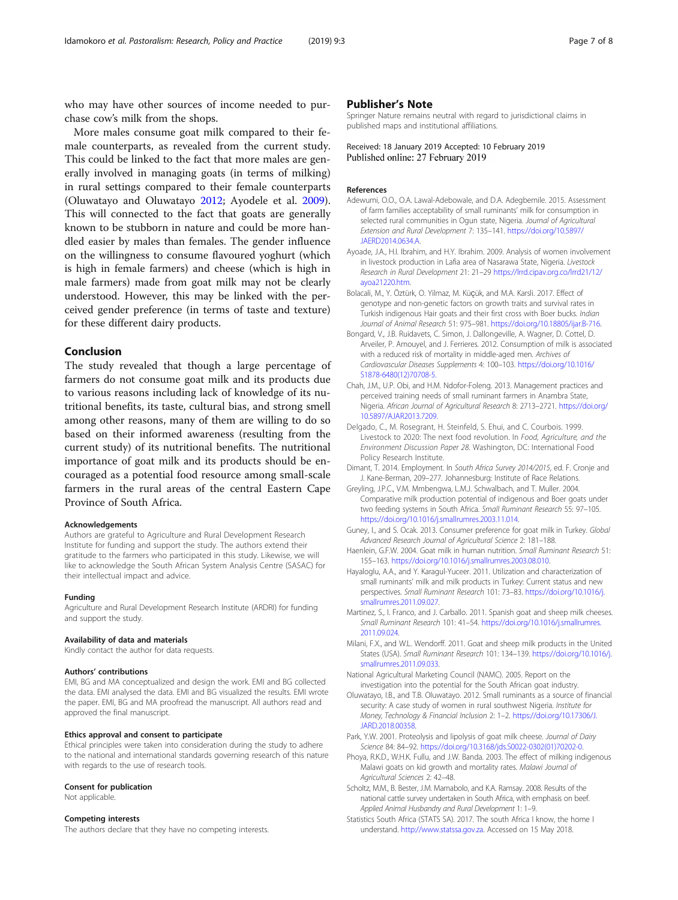<span id="page-6-0"></span>who may have other sources of income needed to purchase cow's milk from the shops.

More males consume goat milk compared to their female counterparts, as revealed from the current study. This could be linked to the fact that more males are generally involved in managing goats (in terms of milking) in rural settings compared to their female counterparts (Oluwatayo and Oluwatayo 2012; Ayodele et al. 2009). This will connected to the fact that goats are generally known to be stubborn in nature and could be more handled easier by males than females. The gender influence on the willingness to consume flavoured yoghurt (which is high in female farmers) and cheese (which is high in male farmers) made from goat milk may not be clearly understood. However, this may be linked with the perceived gender preference (in terms of taste and texture) for these different dairy products.

# Conclusion

The study revealed that though a large percentage of farmers do not consume goat milk and its products due to various reasons including lack of knowledge of its nutritional benefits, its taste, cultural bias, and strong smell among other reasons, many of them are willing to do so based on their informed awareness (resulting from the current study) of its nutritional benefits. The nutritional importance of goat milk and its products should be encouraged as a potential food resource among small-scale farmers in the rural areas of the central Eastern Cape Province of South Africa.

#### Acknowledgements

Authors are grateful to Agriculture and Rural Development Research Institute for funding and support the study. The authors extend their gratitude to the farmers who participated in this study. Likewise, we will like to acknowledge the South African System Analysis Centre (SASAC) for their intellectual impact and advice.

#### Funding

Agriculture and Rural Development Research Institute (ARDRI) for funding and support the study.

#### Availability of data and materials

Kindly contact the author for data requests.

#### Authors' contributions

EMI, BG and MA conceptualized and design the work. EMI and BG collected the data. EMI analysed the data. EMI and BG visualized the results. EMI wrote the paper. EMI, BG and MA proofread the manuscript. All authors read and approved the final manuscript.

## Ethics approval and consent to participate

Ethical principles were taken into consideration during the study to adhere to the national and international standards governing research of this nature with regards to the use of research tools.

#### Consent for publication

Not applicable.

# Competing interests

The authors declare that they have no competing interests.

# Publisher's Note

Springer Nature remains neutral with regard to jurisdictional claims in published maps and institutional affiliations.

Received: 18 January 2019 Accepted: 10 February 2019 Published online: 27 February 2019

#### References

- Adewumi, O.O., O.A. Lawal-Adebowale, and D.A. Adegbemile. 2015. Assessment of farm families acceptability of small ruminants' milk for consumption in selected rural communities in Ogun state, Nigeria. Journal of Agricultural Extension and Rural Development 7: 135–141. [https://doi.org/10.5897/](https://doi.org/10.5897/JAERD2014.0634.A) [JAERD2014.0634.A.](https://doi.org/10.5897/JAERD2014.0634.A)
- Ayoade, J.A., H.I. Ibrahim, and H.Y. Ibrahim. 2009. Analysis of women involvement in livestock production in Lafia area of Nasarawa State, Nigeria. Livestock Research in Rural Development 21: 21–29 [https://lrrd.cipav.org.co/lrrd21/12/](https://lrrd.cipav.org.co/lrrd21/12/ayoa21220.htm) [ayoa21220.htm](https://lrrd.cipav.org.co/lrrd21/12/ayoa21220.htm).
- Bolacali, M., Y. Öztürk, O. Yilmaz, M. Küçük, and M.A. Karsli. 2017. Effect of genotype and non-genetic factors on growth traits and survival rates in Turkish indigenous Hair goats and their first cross with Boer bucks. Indian Journal of Animal Research 51: 975–981. <https://doi.org/10.18805/ijar.B-716>.
- Bongard, V., J.B. Ruidavets, C. Simon, J. Dallongeville, A. Wagner, D. Cottel, D. Arveiler, P. Amouyel, and J. Ferrieres. 2012. Consumption of milk is associated with a reduced risk of mortality in middle-aged men. Archives of Cardiovascular Diseases Supplements 4: 100–103. [https://doi.org/10.1016/](https://doi.org/10.1016/S1878-6480(12)70708-5.) [S1878-6480\(12\)70708-5.](https://doi.org/10.1016/S1878-6480(12)70708-5.)
- Chah, J.M., U.P. Obi, and H.M. Ndofor-Foleng. 2013. Management practices and perceived training needs of small ruminant farmers in Anambra State, Nigeria. African Journal of Agricultural Research 8: 2713–2721. [https://doi.org/](https://doi.org/10.5897/AJAR2013.7209.) [10.5897/AJAR2013.7209.](https://doi.org/10.5897/AJAR2013.7209.)
- Delgado, C., M. Rosegrant, H. Steinfeld, S. Ehui, and C. Courbois. 1999. Livestock to 2020: The next food revolution. In Food, Agriculture, and the Environment Discussion Paper 28. Washington, DC: International Food Policy Research Institute.
- Dimant, T. 2014. Employment. In South Africa Survey 2014/2015, ed. F. Cronje and J. Kane-Berman, 209–277. Johannesburg: Institute of Race Relations.
- Greyling, J.P.C., V.M. Mmbengwa, L.M.J. Schwalbach, and T. Muller. 2004. Comparative milk production potential of indigenous and Boer goats under two feeding systems in South Africa. Small Ruminant Research 55: 97–105. <https://doi.org/10.1016/j.smallrumres.2003.11.014>.
- Guney, I., and S. Ocak. 2013. Consumer preference for goat milk in Turkey. Global Advanced Research Journal of Agricultural Science 2: 181–188.
- Haenlein, G.F.W. 2004. Goat milk in human nutrition. Small Ruminant Research 51: 155–163. <https://doi.org/10.1016/j.smallrumres.2003.08.010>.
- Hayaloglu, A.A., and Y. Karagul-Yuceer. 2011. Utilization and characterization of small ruminants' milk and milk products in Turkey: Current status and new perspectives. Small Ruminant Research 101: 73–83. [https://doi.org/10.1016/j.](https://doi.org/10.1016/j.smallrumres.2011.09.027) [smallrumres.2011.09.027](https://doi.org/10.1016/j.smallrumres.2011.09.027).
- Martinez, S., I. Franco, and J. Carballo. 2011. Spanish goat and sheep milk cheeses. Small Ruminant Research 101: 41–54. [https://doi.org/10.1016/j.smallrumres.](https://doi.org/10.1016/j.smallrumres.2011.09.024) [2011.09.024.](https://doi.org/10.1016/j.smallrumres.2011.09.024)
- Milani, F.X., and W.L. Wendorff. 2011. Goat and sheep milk products in the United States (USA). Small Ruminant Research 101: 134–139. [https://doi.org/10.1016/j.](https://doi.org/10.1016/j.smallrumres.2011.09.033) [smallrumres.2011.09.033](https://doi.org/10.1016/j.smallrumres.2011.09.033).
- National Agricultural Marketing Council (NAMC). 2005. Report on the investigation into the potential for the South African goat industry.
- Oluwatayo, I.B., and T.B. Oluwatayo. 2012. Small ruminants as a source of financial security: A case study of women in rural southwest Nigeria. Institute for Money, Technology & Financial Inclusion 2: 1–2. [https://doi.org/10.17306/J.](https://doi.org/10.17306/J.JARD.2018.00358) [JARD.2018.00358.](https://doi.org/10.17306/J.JARD.2018.00358)
- Park, Y.W. 2001. Proteolysis and lipolysis of goat milk cheese. Journal of Dairy Science 84: 84–92. [https://doi.org/10.3168/jds.S0022-0302\(01\)70202-0.](https://doi.org/10.3168/jds.S0022-0302(01)70202-0)
- Phoya, R.K.D., W.H.K. Fullu, and J.W. Banda. 2003. The effect of milking indigenous Malawi goats on kid growth and mortality rates. Malawi Journal of Agricultural Sciences 2: 42–48.
- Scholtz, M.M., B. Bester, J.M. Mamabolo, and K.A. Ramsay. 2008. Results of the national cattle survey undertaken in South Africa, with emphasis on beef. Applied Animal Husbandry and Rural Development 1: 1–9.
- Statistics South Africa (STATS SA). 2017. The south Africa I know, the home I understand. [http://www.statssa.gov.za.](http://www.statssa.gov.za) Accessed on 15 May 2018.